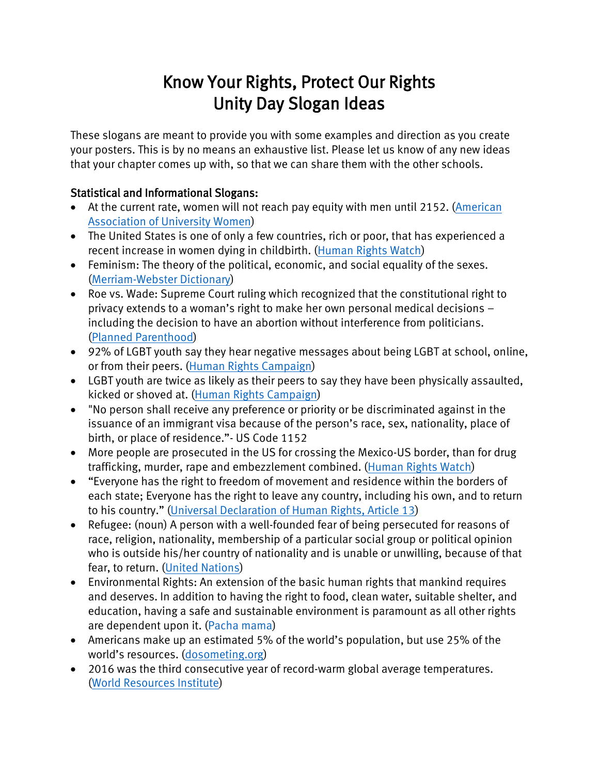## Know Your Rights, Protect Our Rights Unity Day Slogan Ideas

These slogans are meant to provide you with some examples and direction as you create your posters. This is by no means an exhaustive list. Please let us know of any new ideas that your chapter comes up with, so that we can share them with the other schools.

## Statistical and Informational Slogans:

- At the current rate, women will not reach pay equity with men until 2152. (American [Association of University Women\)](http://www.aauw.org/research/the-simple-truth-about-the-gender-pay-gap/)
- The United States is one of only a few countries, rich or poor, that has experienced a recent increase in women dying in childbirth. [\(Human Rights Watch\)](https://www.hrw.org/news/2016/11/15/respect-women-trump-has-respect-their-rights)
- Feminism: The theory of the political, economic, and social equality of the sexes. [\(Merriam-Webster Dictionary\)](https://www.merriam-webster.com/dictionary/feminism)
- Roe vs. Wade: Supreme Court ruling which recognized that the constitutional right to privacy extends to a woman's right to make her own personal medical decisions – including the decision to have an abortion without interference from politicians. [\(Planned Parenthood\)](https://www.plannedparenthoodaction.org/issues/abortion/roe-v-wade)
- 92% of LGBT youth say they hear negative messages about being LGBT at school, online, or from their peers. [\(Human Rights Campaign\)](http://www.hrc.org/youth-report/view-and-share-statistics)
- LGBT youth are twice as likely as their peers to say they have been physically assaulted, kicked or shoved at. [\(Human Rights Campaign\)](http://www.hrc.org/youth-report/view-and-share-statistics)
- "No person shall receive any preference or priority or be discriminated against in the issuance of an immigrant visa because of the person's race, sex, nationality, place of birth, or place of residence."- US Code 1152
- More people are prosecuted in the US for crossing the Mexico-US border, than for drug trafficking, murder, rape and embezzlement combined. [\(Human Rights Watch\)](https://www.hrw.org/news/2017/02/01/border-wall-dangerous-waste)
- "Everyone has the right to freedom of movement and residence within the borders of each state; Everyone has the right to leave any country, including his own, and to return to his country." ([Universal Declaration of Human Rights, Article 13\)](http://www.ohchr.org/EN/UDHR/Documents/UDHR_Translations/eng.pdf)
- Refugee: (noun) A person with a well-founded fear of being persecuted for reasons of race, religion, nationality, membership of a particular social group or political opinion who is outside his/her country of nationality and is unable or unwilling, because of that fear, to return. [\(United Nations\)](http://www.un.org/en/events/refugeeday/background.shtml)
- Environmental Rights: An extension of the basic human rights that mankind requires and deserves. In addition to having the right to food, clean water, suitable shelter, and education, having a safe and sustainable environment is paramount as all other rights are dependent upon it. (Pacha mama)
- Americans make up an estimated 5% of the world's population, but use 25% of the world's resources. ([dosometing.org\)](https://www.dosomething.org/us/facts/11-facts-about-pollution)
- 2016 was the third consecutive year of record-warm global average temperatures. [\(World Resources Institute\)](https://www.wri.org/blog/2017/01/4-irrefutable-truths-about-climate-change-science)